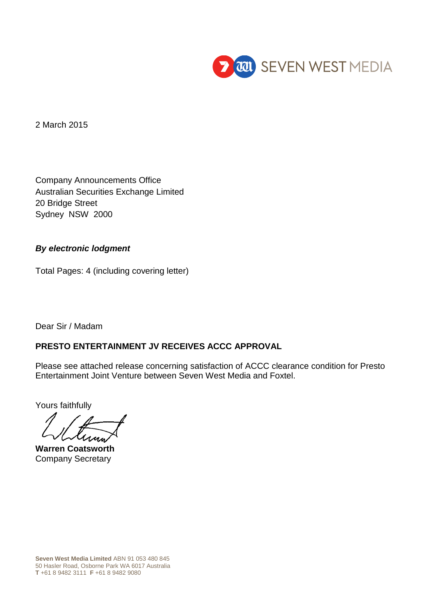

2 March 2015

Company Announcements Office Australian Securities Exchange Limited 20 Bridge Street Sydney NSW 2000

## *By electronic lodgment*

Total Pages: 4 (including covering letter)

Dear Sir / Madam

# **PRESTO ENTERTAINMENT JV RECEIVES ACCC APPROVAL**

Please see attached release concerning satisfaction of ACCC clearance condition for Presto Entertainment Joint Venture between Seven West Media and Foxtel.

Yours faithfully

**Warren Coatsworth** Company Secretary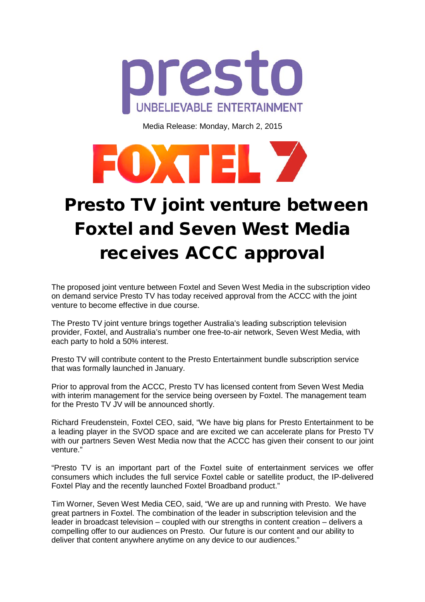

Media Release: Monday, March 2, 2015



# Presto TV joint venture between Foxtel and Seven West Media receives ACCC approval

The proposed joint venture between Foxtel and Seven West Media in the subscription video on demand service Presto TV has today received approval from the ACCC with the joint venture to become effective in due course.

The Presto TV joint venture brings together Australia's leading subscription television provider, Foxtel, and Australia's number one free-to-air network, Seven West Media, with each party to hold a 50% interest.

Presto TV will contribute content to the Presto Entertainment bundle subscription service that was formally launched in January.

Prior to approval from the ACCC, Presto TV has licensed content from Seven West Media with interim management for the service being overseen by Foxtel. The management team for the Presto TV JV will be announced shortly.

Richard Freudenstein, Foxtel CEO, said, "We have big plans for Presto Entertainment to be a leading player in the SVOD space and are excited we can accelerate plans for Presto TV with our partners Seven West Media now that the ACCC has given their consent to our joint venture."

"Presto TV is an important part of the Foxtel suite of entertainment services we offer consumers which includes the full service Foxtel cable or satellite product, the IP-delivered Foxtel Play and the recently launched Foxtel Broadband product."

Tim Worner, Seven West Media CEO, said, "We are up and running with Presto. We have great partners in Foxtel. The combination of the leader in subscription television and the leader in broadcast television – coupled with our strengths in content creation – delivers a compelling offer to our audiences on Presto. Our future is our content and our ability to deliver that content anywhere anytime on any device to our audiences."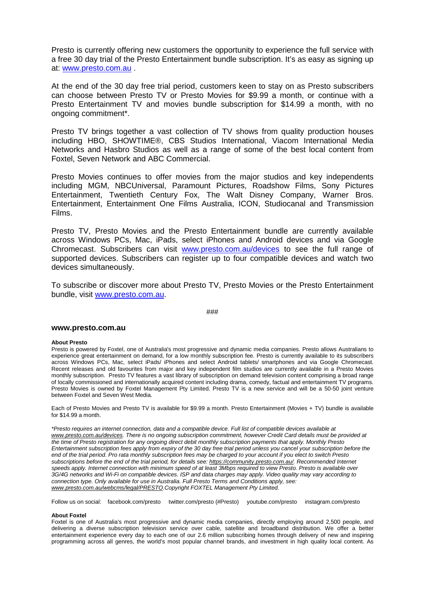Presto is currently offering new customers the opportunity to experience the full service with a free 30 day trial of the Presto Entertainment bundle subscription. It's as easy as signing up at: [www.presto.com.au](http://www.presto.com.au/) .

At the end of the 30 day free trial period, customers keen to stay on as Presto subscribers can choose between Presto TV or Presto Movies for \$9.99 a month, or continue with a Presto Entertainment TV and movies bundle subscription for \$14.99 a month, with no ongoing commitment\*.

Presto TV brings together a vast collection of TV shows from quality production houses including HBO, SHOWTIME®, CBS Studios International, Viacom International Media Networks and Hasbro Studios as well as a range of some of the best local content from Foxtel, Seven Network and ABC Commercial.

Presto Movies continues to offer movies from the major studios and key independents including MGM, NBCUniversal, Paramount Pictures, Roadshow Films, Sony Pictures Entertainment, Twentieth Century Fox, The Walt Disney Company, Warner Bros. Entertainment, Entertainment One Films Australia, ICON, Studiocanal and Transmission Films.

Presto TV, Presto Movies and the Presto Entertainment bundle are currently available across Windows PCs, Mac, iPads, select iPhones and Android devices and via Google Chromecast. Subscribers can visit [www.presto.com.au/devices](http://www.presto.com.au/devices) to see the full range of supported devices. Subscribers can register up to four compatible devices and watch two devices simultaneously.

To subscribe or discover more about Presto TV, Presto Movies or the Presto Entertainment bundle, visit [www.presto.com.au.](http://www.presto.com.au/)

## ###

## **www.presto.com.au**

#### **About Presto**

Presto is powered by Foxtel, one of Australia's most progressive and dynamic media companies. Presto allows Australians to experience great entertainment on demand, for a low monthly subscription fee. Presto is currently available to its subscribers across Windows PCs, Mac, select iPads/ iPhones and select Android tablets/ smartphones and via Google Chromecast. Recent releases and old favourites from major and key independent film studios are currently available in a Presto Movies monthly subscription. Presto TV features a vast library of subscription on demand television content comprising a broad range of locally commissioned and internationally acquired content including drama, comedy, factual and entertainment TV programs. Presto Movies is owned by Foxtel Management Pty Limited. Presto TV is a new service and will be a 50-50 joint venture between Foxtel and Seven West Media.

Each of Presto Movies and Presto TV is available for \$9.99 a month. Presto Entertainment (Movies + TV) bundle is available for \$14.99 a month.

*\*Presto requires an internet connection, data and a compatible device. Full list of compatible devices available at [www.presto.com.au/devices.](http://www.presto.com.au/devices) There is no ongoing subscription commitment, however Credit Card details must be provided at the time of Presto registration for any ongoing direct debit monthly subscription payments that apply. Monthly Presto Entertainment subscription fees apply from expiry of the 30 day free trial period unless you cancel your subscription before the end of the trial period. Pro rata monthly subscription fees may be charged to your account if you elect to switch Presto subscriptions before the end of the trial period, for details see: [https://community.presto.com.au/.](https://community.presto.com.au/) Recommended Internet speeds apply. Internet connection with minimum speed of at least 3Mbps required to view Presto. Presto is available over 3G/4G networks and Wi-Fi on compatible devices. ISP and data charges may apply. Video quality may vary according to connection type. Only available for use in Australia. Full Presto Terms and Conditions apply, see: [www.presto.com.au/webcms/legal/PRESTO.](http://www.presto.com.au/webcms/legal/PRESTO)Copyright FOXTEL Management Pty Limited.*

Follow us on social: facebook.com/presto twitter.com/presto (#Presto) youtube.com/presto instagram.com/presto

#### **About Foxtel**

Foxtel is one of Australia's most progressive and dynamic media companies, directly employing around 2,500 people, and delivering a diverse subscription television service over cable, satellite and broadband distribution. We offer a better entertainment experience every day to each one of our 2.6 million subscribing homes through delivery of new and inspiring programming across all genres, the world's most popular channel brands, and investment in high quality local content. As